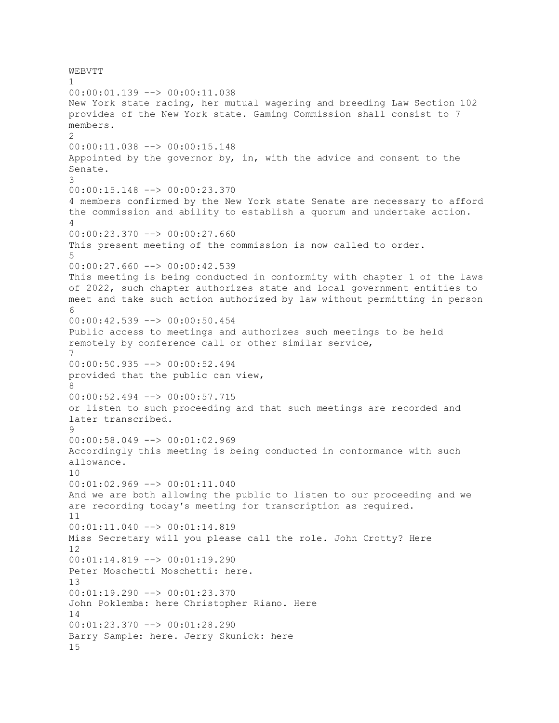WEBVTT 1 00:00:01.139 --> 00:00:11.038 New York state racing, her mutual wagering and breeding Law Section 102 provides of the New York state. Gaming Commission shall consist to 7 members.  $\mathcal{P}$ 00:00:11.038 --> 00:00:15.148 Appointed by the governor by, in, with the advice and consent to the Senate. 3 00:00:15.148 --> 00:00:23.370 4 members confirmed by the New York state Senate are necessary to afford the commission and ability to establish a quorum and undertake action. 4 00:00:23.370 --> 00:00:27.660 This present meeting of the commission is now called to order. 5 00:00:27.660 --> 00:00:42.539 This meeting is being conducted in conformity with chapter 1 of the laws of 2022, such chapter authorizes state and local government entities to meet and take such action authorized by law without permitting in person 6 00:00:42.539 --> 00:00:50.454 Public access to meetings and authorizes such meetings to be held remotely by conference call or other similar service, 7 00:00:50.935 --> 00:00:52.494 provided that the public can view, 8 00:00:52.494 --> 00:00:57.715 or listen to such proceeding and that such meetings are recorded and later transcribed. 9 00:00:58.049 --> 00:01:02.969 Accordingly this meeting is being conducted in conformance with such allowance. 10  $00:01:02.969$  -->  $00:01:11.040$ And we are both allowing the public to listen to our proceeding and we are recording today's meeting for transcription as required. 11 00:01:11.040 --> 00:01:14.819 Miss Secretary will you please call the role. John Crotty? Here 12 00:01:14.819 --> 00:01:19.290 Peter Moschetti Moschetti: here. 13 00:01:19.290 --> 00:01:23.370 John Poklemba: here Christopher Riano. Here 14  $00:01:23.370$   $\rightarrow$   $\rightarrow$   $00:01:28.290$ Barry Sample: here. Jerry Skunick: here 15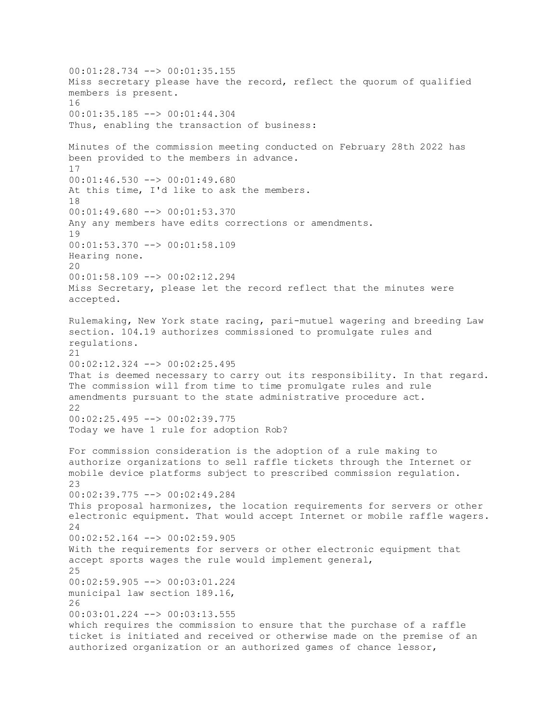00:01:28.734 --> 00:01:35.155 Miss secretary please have the record, reflect the quorum of qualified members is present. 16 00:01:35.185 --> 00:01:44.304 Thus, enabling the transaction of business: Minutes of the commission meeting conducted on February 28th 2022 has been provided to the members in advance. 17 00:01:46.530 --> 00:01:49.680 At this time, I'd like to ask the members. 18 00:01:49.680 --> 00:01:53.370 Any any members have edits corrections or amendments. 19 00:01:53.370 --> 00:01:58.109 Hearing none.  $20$ 00:01:58.109 --> 00:02:12.294 Miss Secretary, please let the record reflect that the minutes were accepted. Rulemaking, New York state racing, pari-mutuel wagering and breeding Law section. 104.19 authorizes commissioned to promulgate rules and regulations. 21 00:02:12.324 --> 00:02:25.495 That is deemed necessary to carry out its responsibility. In that regard. The commission will from time to time promulgate rules and rule amendments pursuant to the state administrative procedure act. 22 00:02:25.495 --> 00:02:39.775 Today we have 1 rule for adoption Rob? For commission consideration is the adoption of a rule making to authorize organizations to sell raffle tickets through the Internet or mobile device platforms subject to prescribed commission regulation. 23 00:02:39.775 --> 00:02:49.284 This proposal harmonizes, the location requirements for servers or other electronic equipment. That would accept Internet or mobile raffle wagers. 24 00:02:52.164 --> 00:02:59.905 With the requirements for servers or other electronic equipment that accept sports wages the rule would implement general, 25 00:02:59.905 --> 00:03:01.224 municipal law section 189.16, 26 00:03:01.224 --> 00:03:13.555 which requires the commission to ensure that the purchase of a raffle ticket is initiated and received or otherwise made on the premise of an authorized organization or an authorized games of chance lessor,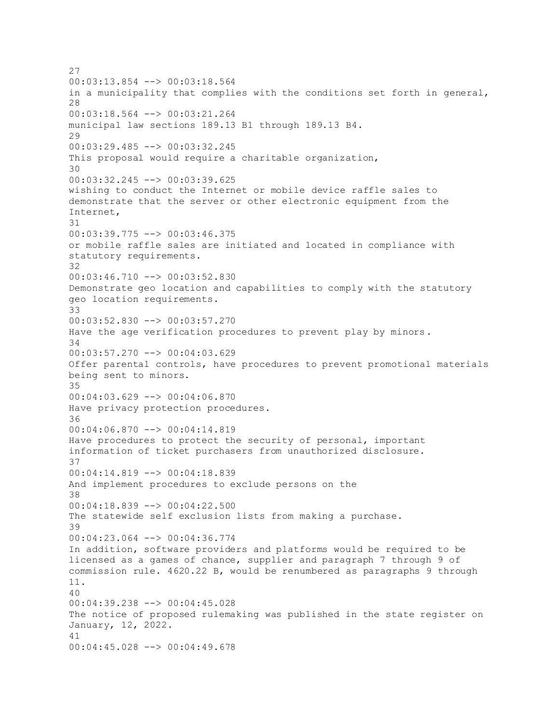27 00:03:13.854 --> 00:03:18.564 in a municipality that complies with the conditions set forth in general, 28 00:03:18.564 --> 00:03:21.264 municipal law sections 189.13 B1 through 189.13 B4.  $29$ 00:03:29.485 --> 00:03:32.245 This proposal would require a charitable organization, 30 00:03:32.245 --> 00:03:39.625 wishing to conduct the Internet or mobile device raffle sales to demonstrate that the server or other electronic equipment from the Internet, 31 00:03:39.775 --> 00:03:46.375 or mobile raffle sales are initiated and located in compliance with statutory requirements. 32 00:03:46.710 --> 00:03:52.830 Demonstrate geo location and capabilities to comply with the statutory geo location requirements. 33 00:03:52.830 --> 00:03:57.270 Have the age verification procedures to prevent play by minors. 34 00:03:57.270 --> 00:04:03.629 Offer parental controls, have procedures to prevent promotional materials being sent to minors. 35 00:04:03.629 --> 00:04:06.870 Have privacy protection procedures. 36 00:04:06.870 --> 00:04:14.819 Have procedures to protect the security of personal, important information of ticket purchasers from unauthorized disclosure. 37 00:04:14.819 --> 00:04:18.839 And implement procedures to exclude persons on the 38 00:04:18.839 --> 00:04:22.500 The statewide self exclusion lists from making a purchase. 39 00:04:23.064 --> 00:04:36.774 In addition, software providers and platforms would be required to be licensed as a games of chance, supplier and paragraph 7 through 9 of commission rule. 4620.22 B, would be renumbered as paragraphs 9 through 11. 40 00:04:39.238 --> 00:04:45.028 The notice of proposed rulemaking was published in the state register on January, 12, 2022. 41 00:04:45.028 --> 00:04:49.678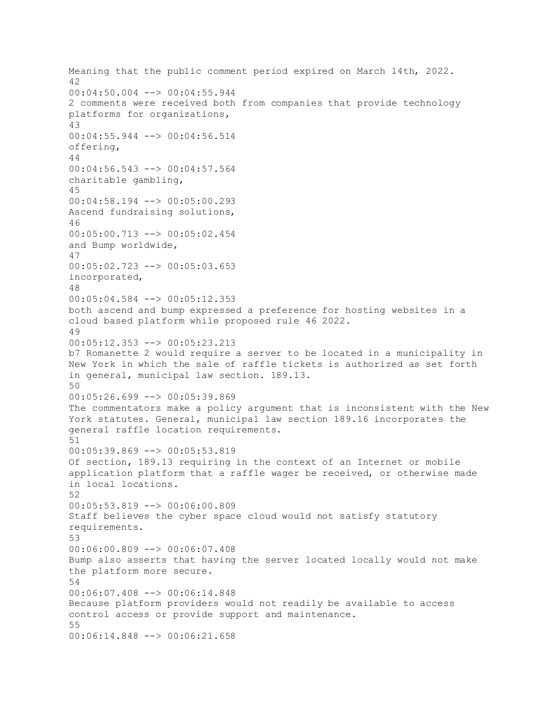Meaning that the public comment period expired on March 14th, 2022. 42 00:04:50.004 --> 00:04:55.944 2 comments were received both from companies that provide technology platforms for organizations, 43 00:04:55.944 --> 00:04:56.514 offering, 44 00:04:56.543 --> 00:04:57.564 charitable gambling, 45 00:04:58.194 --> 00:05:00.293 Ascend fundraising solutions, 46 00:05:00.713 --> 00:05:02.454 and Bump worldwide, 47 00:05:02.723 --> 00:05:03.653 incorporated, 48 00:05:04.584 --> 00:05:12.353 both ascend and bump expressed a preference for hosting websites in a cloud based platform while proposed rule 46 2022. 49 00:05:12.353 --> 00:05:23.213 b7 Romanette 2 would require a server to be located in a municipality in New York in which the sale of raffle tickets is authorized as set forth in general, municipal law section. 189.13. 50 00:05:26.699 --> 00:05:39.869 The commentators make a policy argument that is inconsistent with the New York statutes. General, municipal law section 189.16 incorporates the general raffle location requirements. 51 00:05:39.869 --> 00:05:53.819 Of section, 189.13 requiring in the context of an Internet or mobile application platform that a raffle wager be received, or otherwise made in local locations. 52 00:05:53.819 --> 00:06:00.809 Staff believes the cyber space cloud would not satisfy statutory requirements. 53 00:06:00.809 --> 00:06:07.408 Bump also asserts that having the server located locally would not make the platform more secure. 54 00:06:07.408 --> 00:06:14.848 Because platform providers would not readily be available to access control access or provide support and maintenance. 55 00:06:14.848 --> 00:06:21.658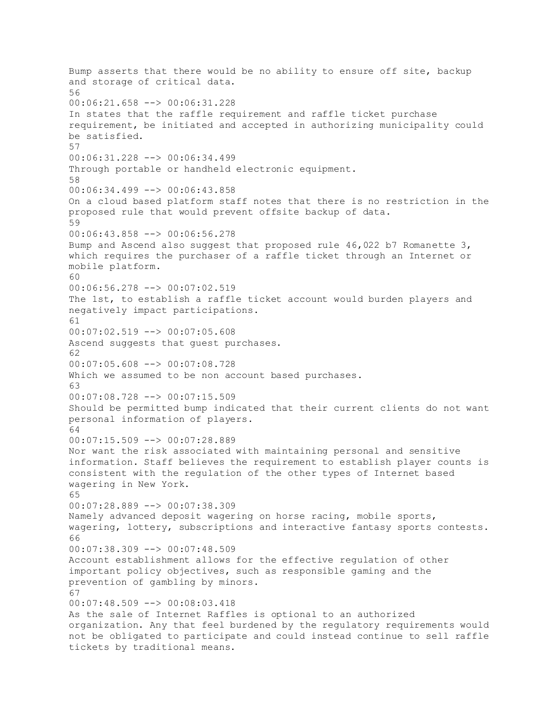Bump asserts that there would be no ability to ensure off site, backup and storage of critical data. 56 00:06:21.658 --> 00:06:31.228 In states that the raffle requirement and raffle ticket purchase requirement, be initiated and accepted in authorizing municipality could be satisfied. 57 00:06:31.228 --> 00:06:34.499 Through portable or handheld electronic equipment. 58 00:06:34.499 --> 00:06:43.858 On a cloud based platform staff notes that there is no restriction in the proposed rule that would prevent offsite backup of data. 59 00:06:43.858 --> 00:06:56.278 Bump and Ascend also suggest that proposed rule 46,022 b7 Romanette 3, which requires the purchaser of a raffle ticket through an Internet or mobile platform. 60 00:06:56.278 --> 00:07:02.519 The 1st, to establish a raffle ticket account would burden players and negatively impact participations. 61 00:07:02.519 --> 00:07:05.608 Ascend suggests that guest purchases. 62 00:07:05.608 --> 00:07:08.728 Which we assumed to be non account based purchases. 63 00:07:08.728 --> 00:07:15.509 Should be permitted bump indicated that their current clients do not want personal information of players. 64 00:07:15.509 --> 00:07:28.889 Nor want the risk associated with maintaining personal and sensitive information. Staff believes the requirement to establish player counts is consistent with the regulation of the other types of Internet based wagering in New York. 65 00:07:28.889 --> 00:07:38.309 Namely advanced deposit wagering on horse racing, mobile sports, wagering, lottery, subscriptions and interactive fantasy sports contests. 66 00:07:38.309 --> 00:07:48.509 Account establishment allows for the effective regulation of other important policy objectives, such as responsible gaming and the prevention of gambling by minors. 67 00:07:48.509 --> 00:08:03.418 As the sale of Internet Raffles is optional to an authorized organization. Any that feel burdened by the regulatory requirements would not be obligated to participate and could instead continue to sell raffle tickets by traditional means.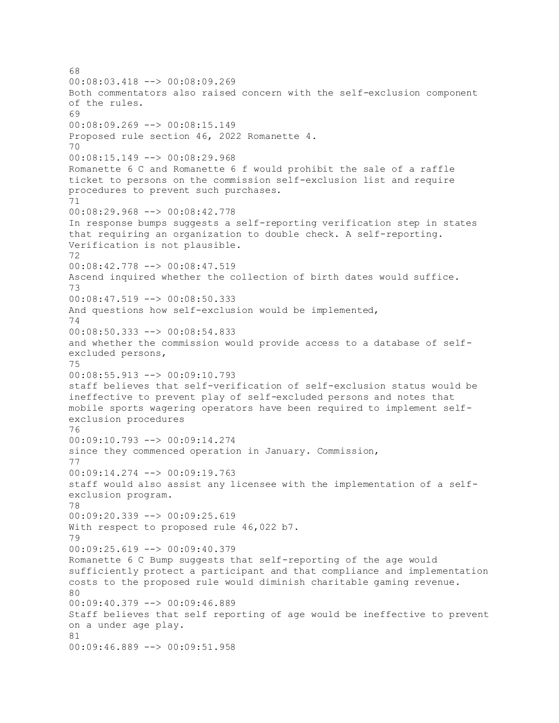68 00:08:03.418 --> 00:08:09.269 Both commentators also raised concern with the self-exclusion component of the rules. 69 00:08:09.269 --> 00:08:15.149 Proposed rule section 46, 2022 Romanette 4. 70 00:08:15.149 --> 00:08:29.968 Romanette 6 C and Romanette 6 f would prohibit the sale of a raffle ticket to persons on the commission self-exclusion list and require procedures to prevent such purchases. 71 00:08:29.968 --> 00:08:42.778 In response bumps suggests a self-reporting verification step in states that requiring an organization to double check. A self-reporting. Verification is not plausible. 72 00:08:42.778 --> 00:08:47.519 Ascend inquired whether the collection of birth dates would suffice. 73 00:08:47.519 --> 00:08:50.333 And questions how self-exclusion would be implemented, 74 00:08:50.333 --> 00:08:54.833 and whether the commission would provide access to a database of selfexcluded persons, 75 00:08:55.913 --> 00:09:10.793 staff believes that self-verification of self-exclusion status would be ineffective to prevent play of self-excluded persons and notes that mobile sports wagering operators have been required to implement selfexclusion procedures 76 00:09:10.793 --> 00:09:14.274 since they commenced operation in January. Commission, 77 00:09:14.274 --> 00:09:19.763 staff would also assist any licensee with the implementation of a selfexclusion program. 78 00:09:20.339 --> 00:09:25.619 With respect to proposed rule 46,022 b7. 79 00:09:25.619 --> 00:09:40.379 Romanette 6 C Bump suggests that self-reporting of the age would sufficiently protect a participant and that compliance and implementation costs to the proposed rule would diminish charitable gaming revenue.  $80$ 00:09:40.379 --> 00:09:46.889 Staff believes that self reporting of age would be ineffective to prevent on a under age play. 81 00:09:46.889 --> 00:09:51.958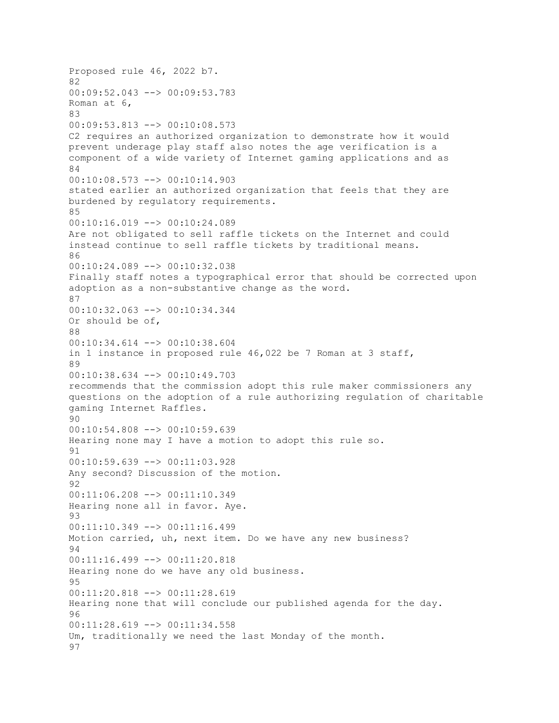Proposed rule 46, 2022 b7. 82 00:09:52.043 --> 00:09:53.783 Roman at 6, 83 00:09:53.813 --> 00:10:08.573 C2 requires an authorized organization to demonstrate how it would prevent underage play staff also notes the age verification is a component of a wide variety of Internet gaming applications and as 84 00:10:08.573 --> 00:10:14.903 stated earlier an authorized organization that feels that they are burdened by regulatory requirements. 85 00:10:16.019 --> 00:10:24.089 Are not obligated to sell raffle tickets on the Internet and could instead continue to sell raffle tickets by traditional means. 86 00:10:24.089 --> 00:10:32.038 Finally staff notes a typographical error that should be corrected upon adoption as a non-substantive change as the word. 87 00:10:32.063 --> 00:10:34.344 Or should be of, 88 00:10:34.614 --> 00:10:38.604 in 1 instance in proposed rule 46,022 be 7 Roman at 3 staff, 89 00:10:38.634 --> 00:10:49.703 recommends that the commission adopt this rule maker commissioners any questions on the adoption of a rule authorizing regulation of charitable gaming Internet Raffles. 90 00:10:54.808 --> 00:10:59.639 Hearing none may I have a motion to adopt this rule so. 91 00:10:59.639 --> 00:11:03.928 Any second? Discussion of the motion. 92 00:11:06.208 --> 00:11:10.349 Hearing none all in favor. Aye. 93 00:11:10.349 --> 00:11:16.499 Motion carried, uh, next item. Do we have any new business? 94 00:11:16.499 --> 00:11:20.818 Hearing none do we have any old business. 95 00:11:20.818 --> 00:11:28.619 Hearing none that will conclude our published agenda for the day. 96  $00:11:28.619$  -->  $00:11:34.558$ Um, traditionally we need the last Monday of the month. 97